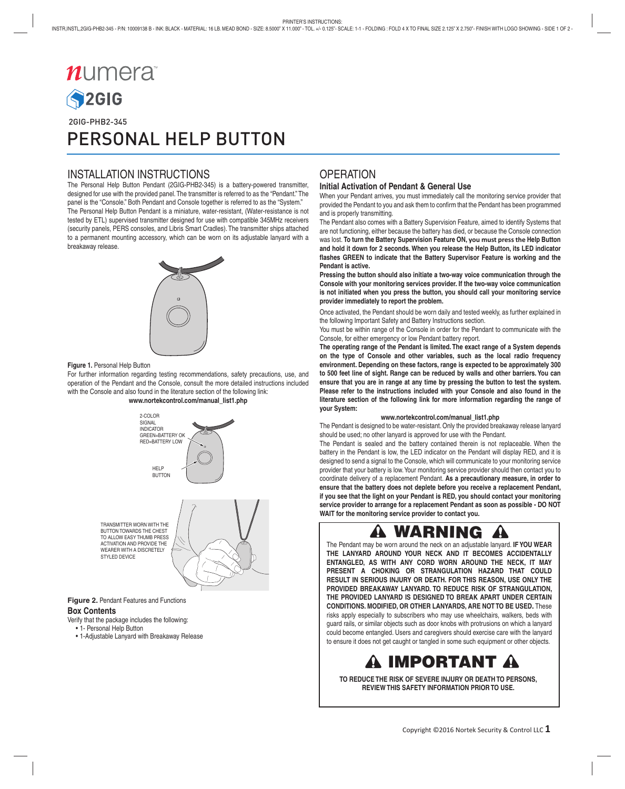# $n$ umera **S2GIG**  2GIG-PHB2-345 PERSONAL HELP BUTTON

## INSTALLATION INSTRUCTIONS

The Personal Help Button Pendant (2GIG-PHB2-345) is a battery-powered transmitter, designed for use with the provided panel. The transmitter is referred to as the "Pendant." The panel is the "Console." Both Pendant and Console together is referred to as the "System." The Personal Help Button Pendant is a miniature, water-resistant, (Water-resistance is not tested by ETL) supervised transmitter designed for use with compatible 345MHz receivers (security panels, PERS consoles, and Libris Smart Cradles). The transmitter ships attached to a permanent mounting accessory, which can be worn on its adjustable lanyard with a breakaway release.



#### **Figure 1.** Personal Help Button

For further information regarding testing recommendations, safety precautions, use, and operation of the Pendant and the Console, consult the more detailed instructions included with the Console and also found in the literature section of the following link:





**Figure 2.** Pendant Features and Functions

#### **Box Contents**

Verify that the package includes the following:

- 1- Personal Help Button
- 1-Adjustable Lanyard with Breakaway Release

## **OPERATION**

#### **Initial Activation of Pendant & General Use**

When your Pendant arrives, you must immediately call the monitoring service provider that provided the Pendant to you and ask them to confirm that the Pendant has been programmed and is properly transmitting.

The Pendant also comes with a Battery Supervision Feature, aimed to identify Systems that are not functioning, either because the battery has died, or because the Console connection was lost. **To turn the Battery Supervision Feature ON, you must press the Help Button and hold it down for 2 seconds. When you release the Help Button, its LED indicator fl ashes GREEN to indicate that the Battery Supervisor Feature is working and the Pendant is active.**

**Pressing the button should also initiate a two-way voice communication through the Console with your monitoring services provider. If the two-way voice communication is not initiated when you press the button, you should call your monitoring service provider immediately to report the problem.**

Once activated, the Pendant should be worn daily and tested weekly, as further explained in the following Important Safety and Battery Instructions section.

You must be within range of the Console in order for the Pendant to communicate with the Console, for either emergency or low Pendant battery report.

**The operating range of the Pendant is limited. The exact range of a System depends on the type of Console and other variables, such as the local radio frequency environment. Depending on these factors, range is expected to be approximately 300 to 500 feet line of sight. Range can be reduced by walls and other barriers. You can ensure that you are in range at any time by pressing the button to test the system. Please refer to the instructions included with your Console and also found in the literature section of the following link for more information regarding the range of your System:** 

#### **www.nortekcontrol.com/manual\_list1.php**

The Pendant is designed to be water-resistant. Only the provided breakaway release lanyard should be used; no other lanyard is approved for use with the Pendant.

The Pendant is sealed and the battery contained therein is not replaceable. When the battery in the Pendant is low, the LED indicator on the Pendant will display RED, and it is designed to send a signal to the Console, which will communicate to your monitoring service provider that your battery is low. Your monitoring service provider should then contact you to coordinate delivery of a replacement Pendant. **As a precautionary measure, in order to ensure that the battery does not deplete before you receive a replacement Pendant, if you see that the light on your Pendant is RED, you should contact your monitoring service provider to arrange for a replacement Pendant as soon as possible - DO NOT WAIT for the monitoring service provider to contact you.**

#### **WARNING** AA

The Pendant may be worn around the neck on an adjustable lanyard. **IF YOU WEAR THE LANYARD AROUND YOUR NECK AND IT BECOMES ACCIDENTALLY ENTANGLED, AS WITH ANY CORD WORN AROUND THE NECK, IT MAY PRESENT A CHOKING OR STRANGULATION HAZARD THAT COULD RESULT IN SERIOUS INJURY OR DEATH. FOR THIS REASON, USE ONLY THE PROVIDED BREAKAWAY LANYARD. TO REDUCE RISK OF STRANGULATION, THE PROVIDED LANYARD IS DESIGNED TO BREAK APART UNDER CERTAIN CONDITIONS. MODIFIED, OR OTHER LANYARDS, ARE NOT TO BE USED.** These risks apply especially to subscribers who may use wheelchairs, walkers, beds with guard rails, or similar objects such as door knobs with protrusions on which a lanyard could become entangled. Users and caregivers should exercise care with the lanyard to ensure it does not get caught or tangled in some such equipment or other objects.

# **IMPORTANT**

**TO REDUCE THE RISK OF SEVERE INJURY OR DEATH TO PERSONS, REVIEW THIS SAFETY INFORMATION PRIOR TO USE.**